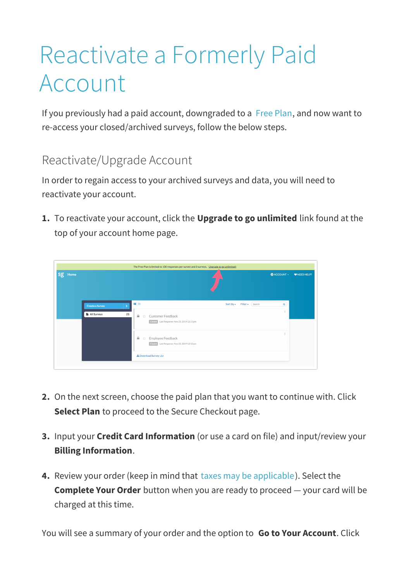## Reactivate a Formerly Paid Account

If you previously had a paid account, downgraded to a Free Plan, and now want to re-access your closed/archived surveys, follow the below steps.

## Reactivate/Upgrade Account

In order to regain access to your archived surveys and data, you will need to reactivate your account.

**1.** To reactivate your account, click the **Upgrade to go unlimited** link found at the top of your account home page.

|         | The Free Plan is limited to 100 responses per survey and 3 surveys. Upgrade to go unlimited! |                                                                                                                                                             |                    |              |  |
|---------|----------------------------------------------------------------------------------------------|-------------------------------------------------------------------------------------------------------------------------------------------------------------|--------------------|--------------|--|
| Sg Home |                                                                                              |                                                                                                                                                             | <b>D</b> ACCOUNT - | W NEED HELP? |  |
|         | <b>Create a Survey</b><br>All Surveys<br>(3)                                                 | $\mathbf{H}$ $\equiv$<br>Sort By $\star$<br>Filter $\star$ (Search<br>$\triangleq$<br>Customer Feedback<br>ŵ<br>Closed Last Response: Nov 25, 2019 12:11 pm | $\alpha$           |              |  |
|         |                                                                                              | $\triangleq$<br>Employee Feedback<br>☆<br>Closed Last Response: Nov 25, 2019 12:13 pm                                                                       |                    |              |  |
|         |                                                                                              | <b>±</b> Download Survey List                                                                                                                               |                    |              |  |

- **2.** On the next screen, choose the paid plan that you want to continue with. Click **Select Plan** to proceed to the Secure Checkout page.
- **3.** Input your **Credit Card Information** (or use a card on file) and input/review your **Billing Information**.
- **4.** Review your order (keep in mind that taxes may be applicable). Select the **Complete Your Order** button when you are ready to proceed — your card will be charged at this time.

You will see a summary of your order and the option to **Go to Your Account**. Click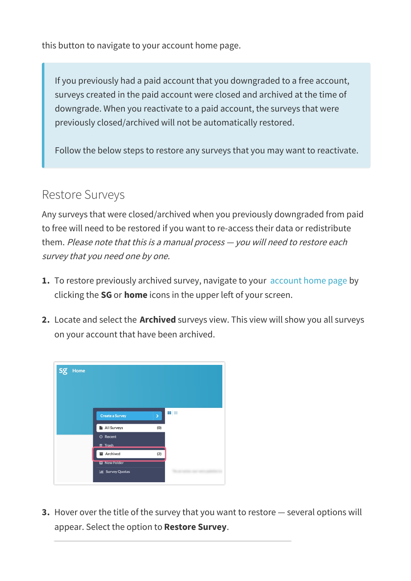this button to navigate to your account home page.

If you previously had a paid account that you downgraded to a free account, surveys created in the paid account were closed and archived at the time of downgrade. When you reactivate to a paid account, the surveys that were previously closed/archived will not be automatically restored.

Follow the below steps to restore any surveys that you may want to reactivate.

## Restore Surveys

Any surveys that were closed/archived when you previously downgraded from paid to free will need to be restored if you want to re-access their data or redistribute them. Please note that this is <sup>a</sup> manual process — you will need to restore each survey that you need one by one.

- **1.** To restore previously archived survey, navigate to your account home page by clicking the **SG** or **home** icons in the upper left of your screen.
- **2.** Locate and select the **Archived** surveys view. This view will show you all surveys on your account that have been archived.



**3.** Hover over the title of the survey that you want to restore — several options will appear. Select the option to **Restore Survey**.